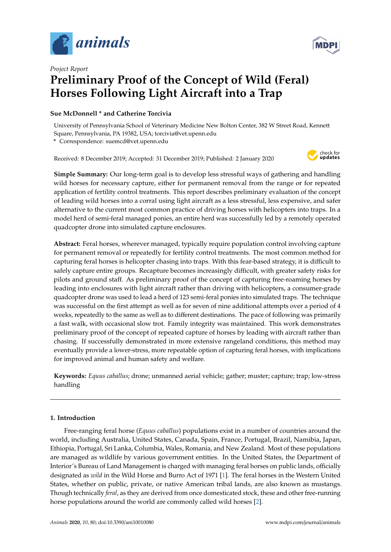



# *Project Report* **Preliminary Proof of the Concept of Wild (Feral) Horses Following Light Aircraft into a Trap**

# **Sue McDonnell \* and Catherine Torcivia**

University of Pennsylvania School of Veterinary Medicine New Bolton Center, 382 W Street Road, Kennett Square, Pennsylvania, PA 19382, USA; torcivia@vet.upenn.edu

**\*** Correspondence: suemcd@vet.upenn.edu

Received: 8 December 2019; Accepted: 31 December 2019; Published: 2 January 2020



**Simple Summary:** Our long-term goal is to develop less stressful ways of gathering and handling wild horses for necessary capture, either for permanent removal from the range or for repeated application of fertility control treatments. This report describes preliminary evaluation of the concept of leading wild horses into a corral using light aircraft as a less stressful, less expensive, and safer alternative to the current most common practice of driving horses with helicopters into traps. In a model herd of semi-feral managed ponies, an entire herd was successfully led by a remotely operated quadcopter drone into simulated capture enclosures.

**Abstract:** Feral horses, wherever managed, typically require population control involving capture for permanent removal or repeatedly for fertility control treatments. The most common method for capturing feral horses is helicopter chasing into traps. With this fear-based strategy, it is difficult to safely capture entire groups. Recapture becomes increasingly difficult, with greater safety risks for pilots and ground staff. As preliminary proof of the concept of capturing free-roaming horses by leading into enclosures with light aircraft rather than driving with helicopters, a consumer-grade quadcopter drone was used to lead a herd of 123 semi-feral ponies into simulated traps. The technique was successful on the first attempt as well as for seven of nine additional attempts over a period of 4 weeks, repeatedly to the same as well as to different destinations. The pace of following was primarily a fast walk, with occasional slow trot. Family integrity was maintained. This work demonstrates preliminary proof of the concept of repeated capture of horses by leading with aircraft rather than chasing. If successfully demonstrated in more extensive rangeland conditions, this method may eventually provide a lower-stress, more repeatable option of capturing feral horses, with implications for improved animal and human safety and welfare.

**Keywords:** *Equus caballus*; drone; unmanned aerial vehicle; gather; muster; capture; trap; low-stress handling

# **1. Introduction**

Free-ranging feral horse (*Equus caballus*) populations exist in a number of countries around the world, including Australia, United States, Canada, Spain, France, Portugal, Brazil, Namibia, Japan, Ethiopia, Portugal, Sri Lanka, Columbia, Wales, Romania, and New Zealand. Most of these populations are managed as wildlife by various government entities. In the United States, the Department of Interior's Bureau of Land Management is charged with managing feral horses on public lands, officially designated as *wild* in the Wild Horse and Burro Act of 1971 [\[1\]](#page-6-0). The feral horses in the Western United States, whether on public, private, or native American tribal lands, are also known as mustangs. Though technically *feral*, as they are derived from once domesticated stock, these and other free-running horse populations around the world are commonly called wild horses [\[2\]](#page-6-1).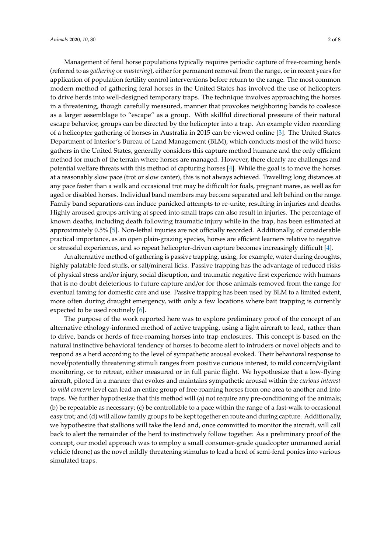Management of feral horse populations typically requires periodic capture of free-roaming herds (referred to as *gathering* or *mustering*), either for permanent removal from the range, or in recent years for application of population fertility control interventions before return to the range. The most common modern method of gathering feral horses in the United States has involved the use of helicopters to drive herds into well-designed temporary traps. The technique involves approaching the horses in a threatening, though carefully measured, manner that provokes neighboring bands to coalesce as a larger assemblage to "escape" as a group. With skillful directional pressure of their natural escape behavior, groups can be directed by the helicopter into a trap. An example video recording of a helicopter gathering of horses in Australia in 2015 can be viewed online [\[3\]](#page-6-2). The United States Department of Interior's Bureau of Land Management (BLM), which conducts most of the wild horse gathers in the United States, generally considers this capture method humane and the only efficient method for much of the terrain where horses are managed. However, there clearly are challenges and potential welfare threats with this method of capturing horses [\[4\]](#page-7-0). While the goal is to move the horses at a reasonably slow pace (trot or slow canter), this is not always achieved. Travelling long distances at any pace faster than a walk and occasional trot may be difficult for foals, pregnant mares, as well as for aged or disabled horses. Individual band members may become separated and left behind on the range. Family band separations can induce panicked attempts to re-unite, resulting in injuries and deaths. Highly aroused groups arriving at speed into small traps can also result in injuries. The percentage of known deaths, including death following traumatic injury while in the trap, has been estimated at approximately 0.5% [\[5\]](#page-7-1). Non-lethal injuries are not officially recorded. Additionally, of considerable practical importance, as an open plain-grazing species, horses are efficient learners relative to negative or stressful experiences, and so repeat helicopter-driven capture becomes increasingly difficult [\[4\]](#page-7-0).

An alternative method of gathering is passive trapping, using, for example, water during droughts, highly palatable feed stuffs, or salt/mineral licks. Passive trapping has the advantage of reduced risks of physical stress and/or injury, social disruption, and traumatic negative first experience with humans that is no doubt deleterious to future capture and/or for those animals removed from the range for eventual taming for domestic care and use. Passive trapping has been used by BLM to a limited extent, more often during draught emergency, with only a few locations where bait trapping is currently expected to be used routinely [\[6\]](#page-7-2).

The purpose of the work reported here was to explore preliminary proof of the concept of an alternative ethology-informed method of active trapping, using a light aircraft to lead, rather than to drive, bands or herds of free-roaming horses into trap enclosures. This concept is based on the natural instinctive behavioral tendency of horses to become alert to intruders or novel objects and to respond as a herd according to the level of sympathetic arousal evoked. Their behavioral response to novel/potentially threatening stimuli ranges from positive curious interest, to mild concern/vigilant monitoring, or to retreat, either measured or in full panic flight. We hypothesize that a low-flying aircraft, piloted in a manner that evokes and maintains sympathetic arousal within the *curious interest* to *mild concern* level can lead an entire group of free-roaming horses from one area to another and into traps. We further hypothesize that this method will (a) not require any pre-conditioning of the animals; (b) be repeatable as necessary; (c) be controllable to a pace within the range of a fast-walk to occasional easy trot; and (d) will allow family groups to be kept together en route and during capture. Additionally, we hypothesize that stallions will take the lead and, once committed to monitor the aircraft, will call back to alert the remainder of the herd to instinctively follow together. As a preliminary proof of the concept, our model approach was to employ a small consumer-grade quadcopter unmanned aerial vehicle (drone) as the novel mildly threatening stimulus to lead a herd of semi-feral ponies into various simulated traps.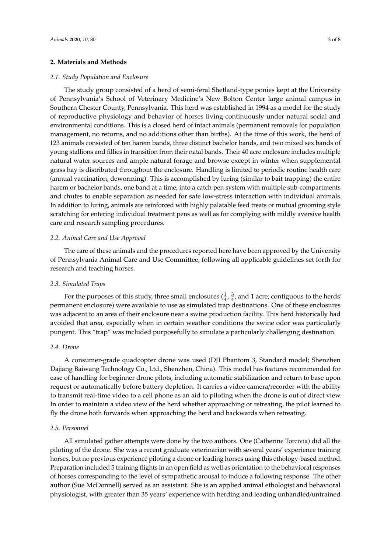# **2. Materials and Methods**

#### *2.1. Study Population and Enclosure*

The study group consisted of a herd of semi-feral Shetland-type ponies kept at the University of Pennsylvania's School of Veterinary Medicine's New Bolton Center large animal campus in Southern Chester County, Pennsylvania. This herd was established in 1994 as a model for the study of reproductive physiology and behavior of horses living continuously under natural social and environmental conditions. This is a closed herd of intact animals (permanent removals for population management, no returns, and no additions other than births). At the time of this work, the herd of 123 animals consisted of ten harem bands, three distinct bachelor bands, and two mixed sex bands of young stallions and fillies in transition from their natal bands. Their 40 acre enclosure includes multiple natural water sources and ample natural forage and browse except in winter when supplemental grass hay is distributed throughout the enclosure. Handling is limited to periodic routine health care (annual vaccination, deworming). This is accomplished by luring (similar to bait trapping) the entire harem or bachelor bands, one band at a time, into a catch pen system with multiple sub-compartments and chutes to enable separation as needed for safe low-stress interaction with individual animals. In addition to luring, animals are reinforced with highly palatable feed treats or mutual grooming style scratching for entering individual treatment pens as well as for complying with mildly aversive health care and research sampling procedures.

#### *2.2. Animal Care and Use Approval*

The care of these animals and the procedures reported here have been approved by the University of Pennsylvania Animal Care and Use Committee, following all applicable guidelines set forth for research and teaching horses.

### *2.3. Simulated Traps*

For the purposes of this study, three small enclosures  $(\frac{1}{4}, \frac{3}{4})$  and 1 acre; contiguous to the herds' permanent enclosure) were available to use as simulated trap destinations. One of these enclosures was adjacent to an area of their enclosure near a swine production facility. This herd historically had avoided that area, especially when in certain weather conditions the swine odor was particularly pungent. This "trap" was included purposefully to simulate a particularly challenging destination.

### *2.4. Drone*

A consumer-grade quadcopter drone was used (DJI Phantom 3, Standard model; Shenzhen Dajiang Baiwang Technology Co., Ltd., Shenzhen, China). This model has features recommended for ease of handling for beginner drone pilots, including automatic stabilization and return to base upon request or automatically before battery depletion. It carries a video camera/recorder with the ability to transmit real-time video to a cell phone as an aid to piloting when the drone is out of direct view. In order to maintain a video view of the herd whether approaching or retreating, the pilot learned to fly the drone both forwards when approaching the herd and backwards when retreating.

#### *2.5. Personnel*

All simulated gather attempts were done by the two authors. One (Catherine Torcivia) did all the piloting of the drone. She was a recent graduate veterinarian with several years' experience training horses, but no previous experience piloting a drone or leading horses using this ethology-based method. Preparation included 5 training flights in an open field as well as orientation to the behavioral responses of horses corresponding to the level of sympathetic arousal to induce a following response. The other author (Sue McDonnell) served as an assistant. She is an applied animal ethologist and behavioral physiologist, with greater than 35 years' experience with herding and leading unhandled/untrained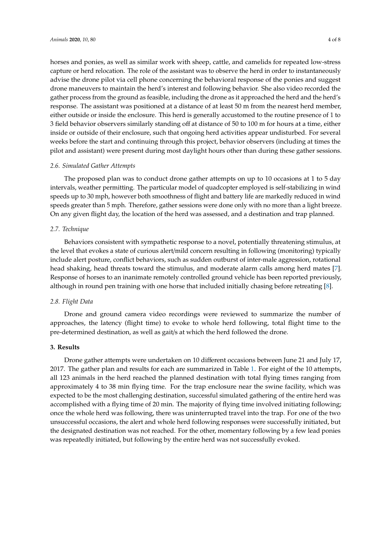horses and ponies, as well as similar work with sheep, cattle, and camelids for repeated low-stress capture or herd relocation. The role of the assistant was to observe the herd in order to instantaneously advise the drone pilot via cell phone concerning the behavioral response of the ponies and suggest

drone maneuvers to maintain the herd's interest and following behavior. She also video recorded the gather process from the ground as feasible, including the drone as it approached the herd and the herd's response. The assistant was positioned at a distance of at least 50 m from the nearest herd member, either outside or inside the enclosure. This herd is generally accustomed to the routine presence of 1 to 3 field behavior observers similarly standing off at distance of 50 to 100 m for hours at a time, either inside or outside of their enclosure, such that ongoing herd activities appear undisturbed. For several weeks before the start and continuing through this project, behavior observers (including at times the pilot and assistant) were present during most daylight hours other than during these gather sessions.

# *2.6. Simulated Gather Attempts*

The proposed plan was to conduct drone gather attempts on up to 10 occasions at 1 to 5 day intervals, weather permitting. The particular model of quadcopter employed is self-stabilizing in wind speeds up to 30 mph, however both smoothness of flight and battery life are markedly reduced in wind speeds greater than 5 mph. Therefore, gather sessions were done only with no more than a light breeze. On any given flight day, the location of the herd was assessed, and a destination and trap planned.

#### *2.7. Technique*

Behaviors consistent with sympathetic response to a novel, potentially threatening stimulus, at the level that evokes a state of curious alert/mild concern resulting in following (monitoring) typically include alert posture, conflict behaviors, such as sudden outburst of inter-male aggression, rotational head shaking, head threats toward the stimulus, and moderate alarm calls among herd mates [\[7\]](#page-7-3). Response of horses to an inanimate remotely controlled ground vehicle has been reported previously, although in round pen training with one horse that included initially chasing before retreating [\[8\]](#page-7-4).

# *2.8. Flight Data*

Drone and ground camera video recordings were reviewed to summarize the number of approaches, the latency (flight time) to evoke to whole herd following, total flight time to the pre-determined destination, as well as gait/s at which the herd followed the drone.

### **3. Results**

Drone gather attempts were undertaken on 10 different occasions between June 21 and July 17, 2017. The gather plan and results for each are summarized in Table [1.](#page-4-0) For eight of the 10 attempts, all 123 animals in the herd reached the planned destination with total flying times ranging from approximately 4 to 38 min flying time. For the trap enclosure near the swine facility, which was expected to be the most challenging destination, successful simulated gathering of the entire herd was accomplished with a flying time of 20 min. The majority of flying time involved initiating following; once the whole herd was following, there was uninterrupted travel into the trap. For one of the two unsuccessful occasions, the alert and whole herd following responses were successfully initiated, but the designated destination was not reached. For the other, momentary following by a few lead ponies was repeatedly initiated, but following by the entire herd was not successfully evoked.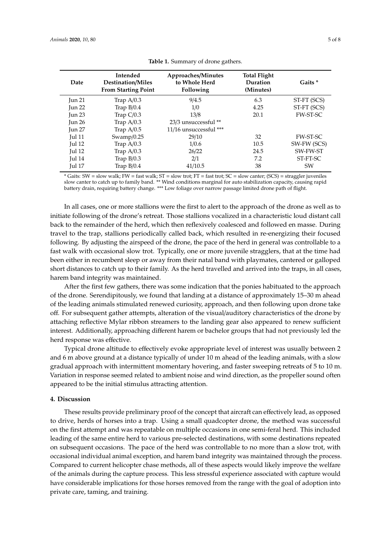<span id="page-4-0"></span>

| Date               | Intended<br><b>Destination/Miles</b><br><b>From Starting Point</b> | Approaches/Minutes<br>to Whole Herd<br>Following | <b>Total Flight</b><br>Duration<br>(Minutes) | Gaits <sup>*</sup> |
|--------------------|--------------------------------------------------------------------|--------------------------------------------------|----------------------------------------------|--------------------|
| Jun 21             | Trap $A/0.3$                                                       | 9/4.5                                            | 6.3                                          | ST-FT (SCS)        |
| <b>Jun 22</b>      | Trap $B/0.4$                                                       | 1/0                                              | 4.25                                         | ST-FT (SCS)        |
| $\mathrm{I}$ un 23 | Trap $C/0.3$                                                       | 13/8                                             | 20.1                                         | FW-ST-SC           |
| $\mathrm{Jun} 26$  | Trap $A/0.3$                                                       | 23/3 unsuccessful **                             |                                              |                    |
| <b>Jun 27</b>      | Trap $A/0.5$                                                       | 11/16 unsuccessful ***                           |                                              |                    |
| $\lceil$ ul 11     | Swamp $/0.25$                                                      | 29/10                                            | 32                                           | FW-ST-SC           |
| Jul $12$           | Trap $A/0.3$                                                       | 1/0.6                                            | 10.5                                         | SW-FW (SCS)        |
| Jul $12$           | Trap $A/0.3$                                                       | 26/22                                            | 24.5                                         | SW-FW-ST           |
| $\text{Iul} 14$    | Trap $B/0.3$                                                       | 2/1                                              | 7.2                                          | ST-FT-SC           |
| <b>Jul 17</b>      | Trap $B/0.4$                                                       | 41/10.5                                          | 38                                           | <b>SW</b>          |
|                    |                                                                    |                                                  |                                              |                    |

|  | Table 1. Summary of drone gathers. |  |  |
|--|------------------------------------|--|--|
|--|------------------------------------|--|--|

\* Gaits: SW = slow walk; FW = fast walk; ST = slow trot; FT = fast trot; SC = slow canter; (SCS) = straggler juveniles slow canter to catch up to family band. \*\* Wind conditions marginal for auto stabilization capacity, causing rapid battery drain, requiring battery change. \*\*\* Low foliage over narrow passage limited drone path of flight.

In all cases, one or more stallions were the first to alert to the approach of the drone as well as to initiate following of the drone's retreat. Those stallions vocalized in a characteristic loud distant call back to the remainder of the herd, which then reflexively coalesced and followed en masse. During travel to the trap, stallions periodically called back, which resulted in re-energizing their focused following. By adjusting the airspeed of the drone, the pace of the herd in general was controllable to a fast walk with occasional slow trot. Typically, one or more juvenile stragglers, that at the time had been either in recumbent sleep or away from their natal band with playmates, cantered or galloped short distances to catch up to their family. As the herd travelled and arrived into the traps, in all cases, harem band integrity was maintained.

After the first few gathers, there was some indication that the ponies habituated to the approach of the drone. Serendipitously, we found that landing at a distance of approximately 15–30 m ahead of the leading animals stimulated renewed curiosity, approach, and then following upon drone take off. For subsequent gather attempts, alteration of the visual/auditory characteristics of the drone by attaching reflective Mylar ribbon streamers to the landing gear also appeared to renew sufficient interest. Additionally, approaching different harem or bachelor groups that had not previously led the herd response was effective.

Typical drone altitude to effectively evoke appropriate level of interest was usually between 2 and 6 m above ground at a distance typically of under 10 m ahead of the leading animals, with a slow gradual approach with intermittent momentary hovering, and faster sweeping retreats of 5 to 10 m. Variation in response seemed related to ambient noise and wind direction, as the propeller sound often appeared to be the initial stimulus attracting attention.

# **4. Discussion**

These results provide preliminary proof of the concept that aircraft can effectively lead, as opposed to drive, herds of horses into a trap. Using a small quadcopter drone, the method was successful on the first attempt and was repeatable on multiple occasions in one semi-feral herd. This included leading of the same entire herd to various pre-selected destinations, with some destinations repeated on subsequent occasions. The pace of the herd was controllable to no more than a slow trot, with occasional individual animal exception, and harem band integrity was maintained through the process. Compared to current helicopter chase methods, all of these aspects would likely improve the welfare of the animals during the capture process. This less stressful experience associated with capture would have considerable implications for those horses removed from the range with the goal of adoption into private care, taming, and training.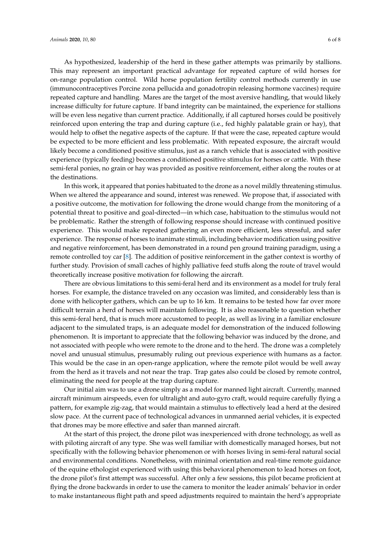As hypothesized, leadership of the herd in these gather attempts was primarily by stallions. This may represent an important practical advantage for repeated capture of wild horses for on-range population control. Wild horse population fertility control methods currently in use (immunocontraceptives Porcine zona pellucida and gonadotropin releasing hormone vaccines) require repeated capture and handling. Mares are the target of the most aversive handling, that would likely increase difficulty for future capture. If band integrity can be maintained, the experience for stallions will be even less negative than current practice. Additionally, if all captured horses could be positively reinforced upon entering the trap and during capture (i.e., fed highly palatable grain or hay), that would help to offset the negative aspects of the capture. If that were the case, repeated capture would be expected to be more efficient and less problematic. With repeated exposure, the aircraft would likely become a conditioned positive stimulus, just as a ranch vehicle that is associated with positive experience (typically feeding) becomes a conditioned positive stimulus for horses or cattle. With these semi-feral ponies, no grain or hay was provided as positive reinforcement, either along the routes or at the destinations.

In this work, it appeared that ponies habituated to the drone as a novel mildly threatening stimulus. When we altered the appearance and sound, interest was renewed. We propose that, if associated with a positive outcome, the motivation for following the drone would change from the monitoring of a potential threat to positive and goal-directed—in which case, habituation to the stimulus would not be problematic. Rather the strength of following response should increase with continued positive experience. This would make repeated gathering an even more efficient, less stressful, and safer experience. The response of horses to inanimate stimuli, including behavior modification using positive and negative reinforcement, has been demonstrated in a round pen ground training paradigm, using a remote controlled toy car [\[8\]](#page-7-4). The addition of positive reinforcement in the gather context is worthy of further study. Provision of small caches of highly palliative feed stuffs along the route of travel would theoretically increase positive motivation for following the aircraft.

There are obvious limitations to this semi-feral herd and its environment as a model for truly feral horses. For example, the distance traveled on any occasion was limited, and considerably less than is done with helicopter gathers, which can be up to 16 km. It remains to be tested how far over more difficult terrain a herd of horses will maintain following. It is also reasonable to question whether this semi-feral herd, that is much more accustomed to people, as well as living in a familiar enclosure adjacent to the simulated traps, is an adequate model for demonstration of the induced following phenomenon. It is important to appreciate that the following behavior was induced by the drone, and not associated with people who were remote to the drone and to the herd. The drone was a completely novel and unusual stimulus, presumably ruling out previous experience with humans as a factor. This would be the case in an open-range application, where the remote pilot would be well away from the herd as it travels and not near the trap. Trap gates also could be closed by remote control, eliminating the need for people at the trap during capture.

Our initial aim was to use a drone simply as a model for manned light aircraft. Currently, manned aircraft minimum airspeeds, even for ultralight and auto-gyro craft, would require carefully flying a pattern, for example zig-zag, that would maintain a stimulus to effectively lead a herd at the desired slow pace. At the current pace of technological advances in unmanned aerial vehicles, it is expected that drones may be more effective and safer than manned aircraft.

At the start of this project, the drone pilot was inexperienced with drone technology, as well as with piloting aircraft of any type. She was well familiar with domestically managed horses, but not specifically with the following behavior phenomenon or with horses living in semi-feral natural social and environmental conditions. Nonetheless, with minimal orientation and real-time remote guidance of the equine ethologist experienced with using this behavioral phenomenon to lead horses on foot, the drone pilot's first attempt was successful. After only a few sessions, this pilot became proficient at flying the drone backwards in order to use the camera to monitor the leader animals' behavior in order to make instantaneous flight path and speed adjustments required to maintain the herd's appropriate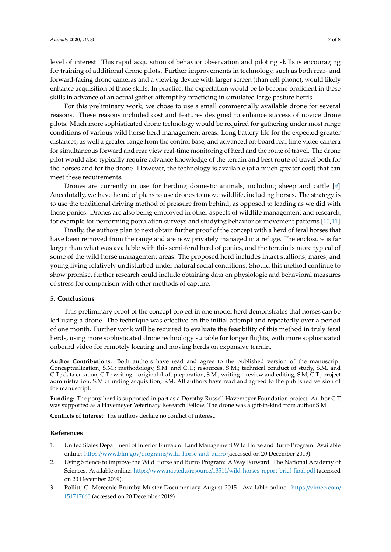level of interest. This rapid acquisition of behavior observation and piloting skills is encouraging for training of additional drone pilots. Further improvements in technology, such as both rear- and forward-facing drone cameras and a viewing device with larger screen (than cell phone), would likely enhance acquisition of those skills. In practice, the expectation would be to become proficient in these skills in advance of an actual gather attempt by practicing in simulated large pasture herds.

For this preliminary work, we chose to use a small commercially available drone for several reasons. These reasons included cost and features designed to enhance success of novice drone pilots. Much more sophisticated drone technology would be required for gathering under most range conditions of various wild horse herd management areas. Long battery life for the expected greater distances, as well a greater range from the control base, and advanced on-board real time video camera for simultaneous forward and rear view real-time monitoring of herd and the route of travel. The drone pilot would also typically require advance knowledge of the terrain and best route of travel both for the horses and for the drone. However, the technology is available (at a much greater cost) that can meet these requirements.

Drones are currently in use for herding domestic animals, including sheep and cattle [\[9\]](#page-7-5). Anecdotally, we have heard of plans to use drones to move wildlife, including horses. The strategy is to use the traditional driving method of pressure from behind, as opposed to leading as we did with these ponies. Drones are also being employed in other aspects of wildlife management and research, for example for performing population surveys and studying behavior or movement patterns [\[10,](#page-7-6)[11\]](#page-7-7).

Finally, the authors plan to next obtain further proof of the concept with a herd of feral horses that have been removed from the range and are now privately managed in a refuge. The enclosure is far larger than what was available with this semi-feral herd of ponies, and the terrain is more typical of some of the wild horse management areas. The proposed herd includes intact stallions, mares, and young living relatively undisturbed under natural social conditions. Should this method continue to show promise, further research could include obtaining data on physiologic and behavioral measures of stress for comparison with other methods of capture.

#### **5. Conclusions**

This preliminary proof of the concept project in one model herd demonstrates that horses can be led using a drone. The technique was effective on the initial attempt and repeatedly over a period of one month. Further work will be required to evaluate the feasibility of this method in truly feral herds, using more sophisticated drone technology suitable for longer flights, with more sophisticated onboard video for remotely locating and moving herds on expansive terrain.

**Author Contributions:** Both authors have read and agree to the published version of the manuscript. Conceptualization, S.M.; methodology, S.M. and C.T.; resources, S.M.; technical conduct of study, S.M. and C.T.; data curation, C.T.; writing—original draft preparation, S.M.; writing—review and editing, S.M, C.T.; project administration, S.M.; funding acquisition, S.M. All authors have read and agreed to the published version of the manuscript.

**Funding:** The pony herd is supported in part as a Dorothy Russell Havemeyer Foundation project. Author C.T was supported as a Havemeyer Veterinary Research Fellow. The drone was a gift-in-kind from author S.M.

**Conflicts of Interest:** The authors declare no conflict of interest.

#### **References**

- <span id="page-6-0"></span>1. United States Department of Interior Bureau of Land Management Wild Horse and Burro Program. Available online: https://www.blm.gov/programs/[wild-horse-and-burro](https://www.blm.gov/programs/wild-horse-and-burro) (accessed on 20 December 2019).
- <span id="page-6-1"></span>2. Using Science to improve the Wild Horse and Burro Program: A Way Forward. The National Academy of Sciences. Available online: https://www.nap.edu/resource/13511/[wild-horses-report-brief-final.pdf](https://www.nap.edu/resource/13511/wild-horses-report-brief-final.pdf) (accessed on 20 December 2019).
- <span id="page-6-2"></span>3. Pollitt, C. Mereenie Brumby Muster Documentary August 2015. Available online: https://[vimeo.com](https://vimeo.com/151717660)/ [151717660](https://vimeo.com/151717660) (accessed on 20 December 2019).